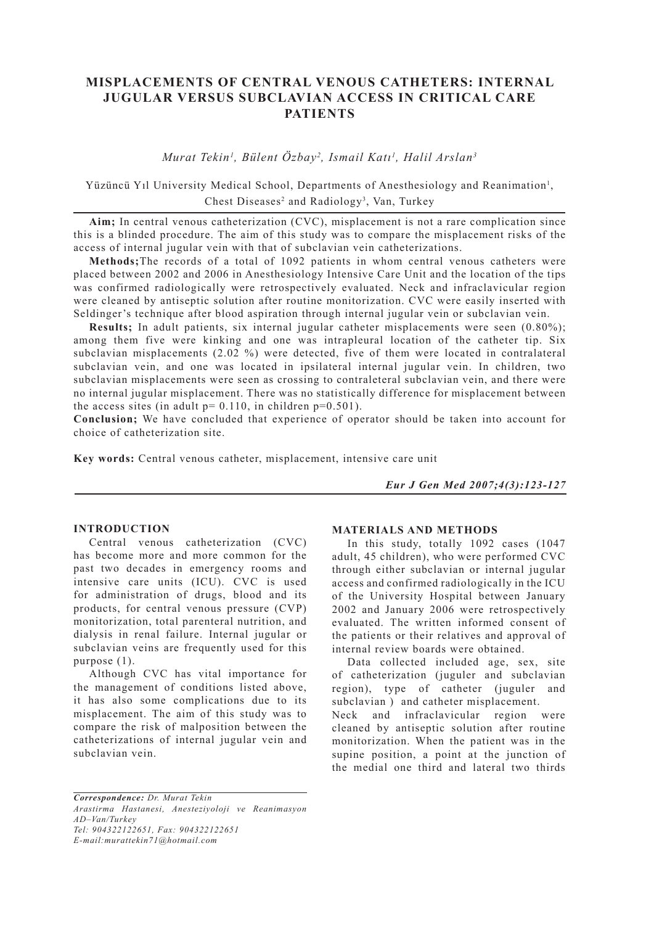# **MISPLACEMENTS OF CENTRAL VENOUS CATHETERS: INTERNAL JUGULAR VERSUS SUBCLAVIAN ACCESS IN CRITICAL CARE PATIENTS**

*Murat Tekin1 , Bülent Özbay2 , Ismail Katı1 , Halil Arslan3*

Yüzüncü Yıl University Medical School, Departments of Anesthesiology and Reanimation<sup>1</sup>, Chest Diseases<sup>2</sup> and Radiology<sup>3</sup>, Van, Turkey

**Aim;** In central venous catheterization (CVC), misplacement is not a rare complication since this is a blinded procedure. The aim of this study was to compare the misplacement risks of the access of internal jugular vein with that of subclavian vein catheterizations.

**Methods;**The records of a total of 1092 patients in whom central venous catheters were placed between 2002 and 2006 in Anesthesiology Intensive Care Unit and the location of the tips was confirmed radiologically were retrospectively evaluated. Neck and infraclavicular region were cleaned by antiseptic solution after routine monitorization. CVC were easily inserted with Seldinger's technique after blood aspiration through internal jugular vein or subclavian vein.

**Results;** In adult patients, six internal jugular catheter misplacements were seen (0.80%); among them five were kinking and one was intrapleural location of the catheter tip. Six subclavian misplacements (2.02 %) were detected, five of them were located in contralateral subclavian vein, and one was located in ipsilateral internal jugular vein. In children, two subclavian misplacements were seen as crossing to contraleteral subclavian vein, and there were no internal jugular misplacement. There was no statistically difference for misplacement between the access sites (in adult  $p= 0.110$ , in children  $p=0.501$ ).

**Conclusion;** We have concluded that experience of operator should be taken into account for choice of catheterization site.

**Key words:** Central venous catheter, misplacement, intensive care unit

*Eur J Gen Med 2007;4(3):123-127*

## **INTRODUCTION**

Central venous catheterization (CVC) has become more and more common for the past two decades in emergency rooms and intensive care units (ICU). CVC is used for administration of drugs, blood and its products, for central venous pressure (CVP) monitorization, total parenteral nutrition, and dialysis in renal failure. Internal jugular or subclavian veins are frequently used for this purpose (1).

Although CVC has vital importance for the management of conditions listed above, it has also some complications due to its misplacement. The aim of this study was to compare the risk of malposition between the catheterizations of internal jugular vein and subclavian vein.

#### **MATERIALS AND METHODS**

In this study, totally 1092 cases (1047 adult, 45 children), who were performed CVC through either subclavian or internal jugular access and confirmed radiologically in the ICU of the University Hospital between January 2002 and January 2006 were retrospectively evaluated. The written informed consent of the patients or their relatives and approval of internal review boards were obtained.

Data collected included age, sex, site of catheterization (juguler and subclavian region), type of catheter (juguler and subclavian ) and catheter misplacement.

Neck and infraclavicular region were cleaned by antiseptic solution after routine monitorization. When the patient was in the supine position, a point at the junction of the medial one third and lateral two thirds

*Correspondence: Dr. Murat Tekin Arastirma Hastanesi, Anesteziyoloji ve Reanimasyon AD–Van/Turkey Tel: 904322122651, Fax: 904322122651 E-mail:murattekin71@hotmail.com*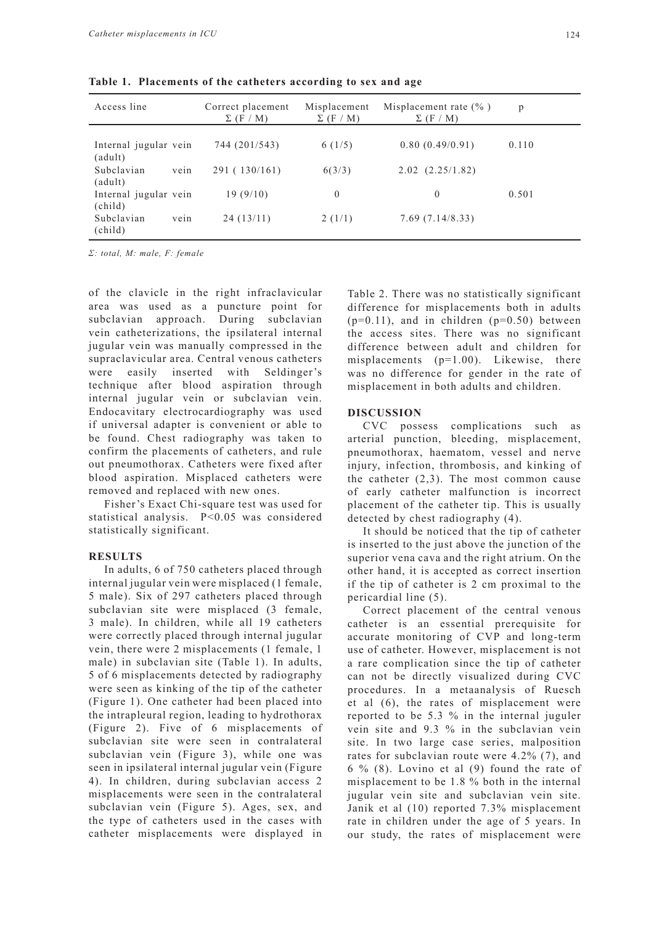| Access line                       |      | Correct placement<br>$\Sigma$ (F / M) | Misplacement<br>$\Sigma$ (F / M) | Misplacement rate $(\%$ )<br>$\Sigma$ (F / M) | p     |  |
|-----------------------------------|------|---------------------------------------|----------------------------------|-----------------------------------------------|-------|--|
| Internal jugular vein<br>(adult)  |      | 744 (201/543)                         | 6(1/5)                           | 0.80(0.49/0.91)                               | 0.110 |  |
| Subclavian<br>(adult)             | vein | 291 (130/161)                         | 6(3/3)                           | $2.02$ $(2.25/1.82)$                          |       |  |
| Internal jugular vein<br>(cchild) |      | 19(9/10)                              | $\theta$                         | $\Omega$                                      | 0.501 |  |
| Subclavian<br>(cchild)            | vein | 24(13/11)                             | 2(1/1)                           | 7.69(7.14/8.33)                               |       |  |

**Table 1. Placements of the catheters according to sex and age**

*Σ: total, M: male, F: female*

of the clavicle in the right infraclavicular area was used as a puncture point for subclavian approach. During subclavian vein catheterizations, the ipsilateral internal jugular vein was manually compressed in the supraclavicular area. Central venous catheters were easily inserted with Seldinger's technique after blood aspiration through internal jugular vein or subclavian vein. Endocavitary electrocardiography was used if universal adapter is convenient or able to be found. Chest radiography was taken to confirm the placements of catheters, and rule out pneumothorax. Catheters were fixed after blood aspiration. Misplaced catheters were removed and replaced with new ones.

Fisher's Exact Chi-square test was used for statistical analysis. P<0.05 was considered statistically significant.

## **RESULTS**

In adults, 6 of 750 catheters placed through internal jugular vein were misplaced (1 female, 5 male). Six of 297 catheters placed through subclavian site were misplaced (3 female, 3 male). In children, while all 19 catheters were correctly placed through internal jugular vein, there were 2 misplacements (1 female, 1 male) in subclavian site (Table 1). In adults, 5 of 6 misplacements detected by radiography were seen as kinking of the tip of the catheter (Figure 1). One catheter had been placed into the intrapleural region, leading to hydrothorax (Figure 2). Five of 6 misplacements of subclavian site were seen in contralateral subclavian vein (Figure 3), while one was seen in ipsilateral internal jugular vein (Figure 4). In children, during subclavian access 2 misplacements were seen in the contralateral subclavian vein (Figure 5). Ages, sex, and the type of catheters used in the cases with catheter misplacements were displayed in

Table 2. There was no statistically significant difference for misplacements both in adults  $(p=0.11)$ , and in children  $(p=0.50)$  between the access sites. There was no significant difference between adult and children for misplacements (p=1.00). Likewise, there was no difference for gender in the rate of misplacement in both adults and children.

#### **DISCUSSION**

CVC possess complications such as arterial punction, bleeding, misplacement, pneumothorax, haematom, vessel and nerve injury, infection, thrombosis, and kinking of the catheter (2,3). The most common cause of early catheter malfunction is incorrect placement of the catheter tip. This is usually detected by chest radiography (4).

It should be noticed that the tip of catheter is inserted to the just above the junction of the superior vena cava and the right atrium. On the other hand, it is accepted as correct insertion if the tip of catheter is 2 cm proximal to the pericardial line (5).

Correct placement of the central venous catheter is an essential prerequisite for accurate monitoring of CVP and long-term use of catheter. However, misplacement is not a rare complication since the tip of catheter can not be directly visualized during CVC procedures. In a metaanalysis of Ruesch et al (6), the rates of misplacement were reported to be 5.3 % in the internal juguler vein site and 9.3 % in the subclavian vein site. In two large case series, malposition rates for subclavian route were 4.2% (7), and 6 % (8). Lovino et al (9) found the rate of misplacement to be 1.8 % both in the internal jugular vein site and subclavian vein site. Janik et al (10) reported 7.3% misplacement rate in children under the age of 5 years. In our study, the rates of misplacement were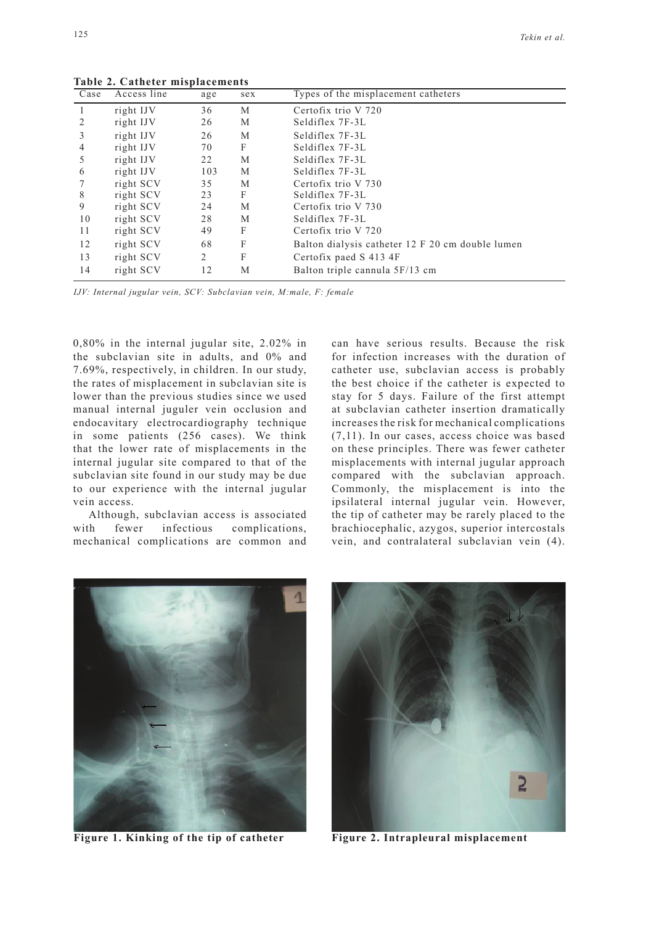| $\overline{Case}$ | Access line | age | sex | Types of the misplacement catheters              |
|-------------------|-------------|-----|-----|--------------------------------------------------|
|                   | right IJV   | 36  | М   | Certofix trio V 720                              |
|                   | right IJV   | 26  | M   | Seldiflex 7F-3L                                  |
| 3                 | right IJV   | 26  | M   | Seldiflex 7F-3L                                  |
| 4                 | right IJV   | 70  | F   | Seldiflex 7F-3L                                  |
| 5                 | right IJV   | 22  | М   | Seldiflex 7F-3L                                  |
| 6                 | right IJV   | 103 | M   | Seldiflex 7F-3L                                  |
|                   | right SCV   | 35  | М   | Certofix trio V 730                              |
| 8                 | right SCV   | 23  | F   | Seldiflex 7F-3L                                  |
| 9                 | right SCV   | 24  | M   | Certofix trio V 730                              |
| 10                | right SCV   | 28  | M   | Seldiflex 7F-3L                                  |
| 11                | right SCV   | 49  | F   | Certofix trio V 720                              |
| 12                | right SCV   | 68  | F   | Balton dialysis catheter 12 F 20 cm double lumen |
| 13                | right SCV   | 2   | F   | Certofix paed S 413 4F                           |
| 14                | right SCV   | 12  | M   | Balton triple cannula 5F/13 cm                   |

**Table 2. Catheter misplacements** 

*IJV: Internal jugular vein, SCV: Subclavian vein, M:male, F: female*

0,80% in the internal jugular site, 2.02% in the subclavian site in adults, and 0% and 7.69%, respectively, in children. In our study, the rates of misplacement in subclavian site is lower than the previous studies since we used manual internal juguler vein occlusion and endocavitary electrocardiography technique in some patients (256 cases). We think that the lower rate of misplacements in the internal jugular site compared to that of the subclavian site found in our study may be due to our experience with the internal jugular vein access.

Although, subclavian access is associated with fewer infectious complications, mechanical complications are common and can have serious results. Because the risk for infection increases with the duration of catheter use, subclavian access is probably the best choice if the catheter is expected to stay for 5 days. Failure of the first attempt at subclavian catheter insertion dramatically increases the risk for mechanical complications (7,11). In our cases, access choice was based on these principles. There was fewer catheter misplacements with internal jugular approach compared with the subclavian approach. Commonly, the misplacement is into the ipsilateral internal jugular vein. However, the tip of catheter may be rarely placed to the brachiocephalic, azygos, superior intercostals vein, and contralateral subclavian vein (4).



**Figure 1. Kinking of the tip of catheter Figure 2. Intrapleural misplacement**

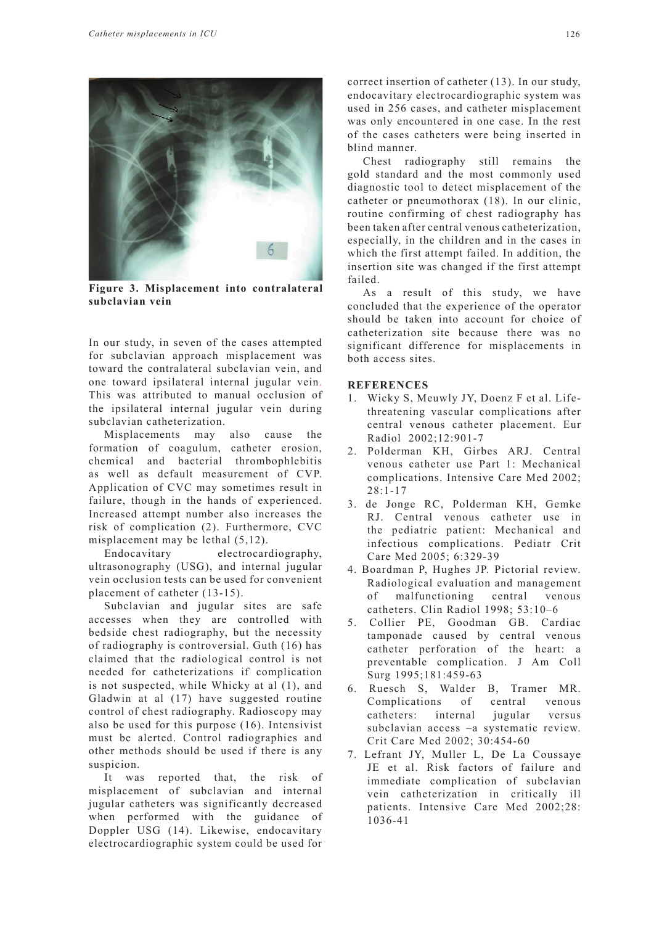

**Figure 3. Misplacement into contralateral subclavian vein**

In our study, in seven of the cases attempted for subclavian approach misplacement was toward the contralateral subclavian vein, and one toward ipsilateral internal jugular vein. This was attributed to manual occlusion of the ipsilateral internal jugular vein during subclavian catheterization.

Misplacements may also cause the formation of coagulum, catheter erosion, chemical and bacterial thrombophlebitis as well as default measurement of CVP. Application of CVC may sometimes result in failure, though in the hands of experienced. Increased attempt number also increases the risk of complication (2). Furthermore, CVC misplacement may be lethal (5,12).

Endocavitary electrocardiography, ultrasonography (USG), and internal jugular vein occlusion tests can be used for convenient placement of catheter (13-15).

Subclavian and jugular sites are safe accesses when they are controlled with bedside chest radiography, but the necessity of radiography is controversial. Guth (16) has claimed that the radiological control is not needed for catheterizations if complication is not suspected, while Whicky at al (1), and Gladwin at al (17) have suggested routine control of chest radiography. Radioscopy may also be used for this purpose (16). Intensivist must be alerted. Control radiographies and other methods should be used if there is any suspicion.

It was reported that, the risk of misplacement of subclavian and internal jugular catheters was significantly decreased when performed with the guidance of Doppler USG (14). Likewise, endocavitary electrocardiographic system could be used for

correct insertion of catheter (13). In our study, endocavitary electrocardiographic system was used in 256 cases, and catheter misplacement was only encountered in one case. In the rest of the cases catheters were being inserted in blind manner.

Chest radiography still remains the gold standard and the most commonly used diagnostic tool to detect misplacement of the catheter or pneumothorax (18). In our clinic, routine confirming of chest radiography has been taken after central venous catheterization, especially, in the children and in the cases in which the first attempt failed. In addition, the insertion site was changed if the first attempt failed.

As a result of this study, we have concluded that the experience of the operator should be taken into account for choice of catheterization site because there was no significant difference for misplacements in both access sites.

## **REFERENCES**

- 1. Wicky S, Meuwly JY, Doenz F et al. Lifethreatening vascular complications after central venous catheter placement. Eur Radiol 2002;12:901-7
- 2. Polderman KH, Girbes ARJ. Central venous catheter use Part 1: Mechanical complications. Intensive Care Med 2002; 28:1-17
- 3. de Jonge RC, Polderman KH, Gemke RJ. Central venous catheter use in the pediatric patient: Mechanical and infectious complications. Pediatr Crit Care Med 2005; 6:329-39
- 4. Boardman P, Hughes JP. Pictorial review. Radiological evaluation and management of malfunctioning central venous catheters. Clin Radiol 1998; 53:10–6
- 5. Collier PE, Goodman GB. Cardiac tamponade caused by central venous catheter perforation of the heart: a preventable complication. J Am Coll Surg 1995;181:459-63
- 6. Ruesch S, Walder B, Tramer MR. Complications of central venous catheters: internal jugular versus subclavian access –a systematic review. Crit Care Med 2002; 30:454-60
- 7. Lefrant JY, Muller L, De La Coussaye JE et al. Risk factors of failure and immediate complication of subclavian vein catheterization in critically ill patients. Intensive Care Med 2002;28: 1036-41